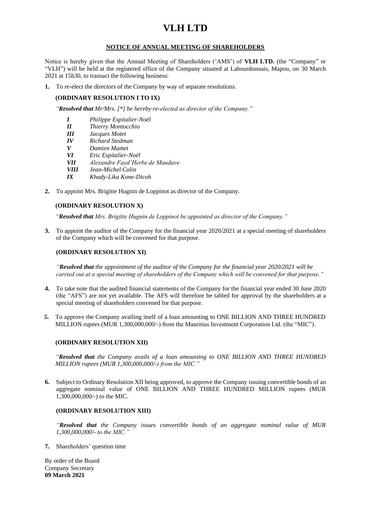# **VLH LTD**

## **NOTICE OF ANNUAL MEETING OF SHAREHOLDERS**

Notice is hereby given that the Annual Meeting of Shareholders ('AMS') of **VLH LTD.** (the "Company" or "VLH") will be held at the registered office of the Company situated at Labourdonnais, Mapou, on 30 March 2021 at 15h30, to transact the following business:

**1.** To re-elect the directors of the Company by way of separate resolutions.

#### **(ORDINARY RESOLUTION I TO IX)**

*"Resolved that Mr/Mrs. [\*] be hereby re-elected as director of the Company."*

- *I Philippe Espitalier-Noël*
- *II Thierry Montocchio*
- *III Jacques Motet*
- *IV Richard Stedman*
- *V Damien Mamet*
- *VI Eric Espitalier-Noël*
- *VII Alexandre Fayd'Herbe de Maudave*
- *VIII Jean-Michel Colin*
- *IX Khady-Lika Kone-Dicoh*
- **2.** To appoint Mrs. Brigitte Hugnin de Loppinot as director of the Company.

### **(ORDINARY RESOLUTION X)**

*"Resolved that Mrs. Brigitte Hugnin de Loppinot be appointed as director of the Company."*

**3.** To appoint the auditor of the Company for the financial year 2020/2021 at a special meeting of shareholders of the Company which will be convened for that purpose.

#### **(ORDINARY RESOLUTION XI)**

*"Resolved that the appointment of the auditor of the Company for the financial year 2020/2021 will be carried out at a special meeting of shareholders of the Company which will be convened for that purpose."*

- **4.** To take note that the audited financial statements of the Company for the financial year ended 30 June 2020 (the "AFS") are not yet available. The AFS will therefore be tabled for approval by the shareholders at a special meeting of shareholders convened for that purpose.
- *5.* To approve the Company availing itself of a loan amounting to ONE BILLION AND THREE HUNDRED MILLION rupees (MUR 1,300,000,000/-) from the Mauritius Investment Corporation Ltd. (the "MIC").

#### **(ORDINARY RESOLUTION XII)**

*"Resolved that the Company avails of a loan amounting to ONE BILLION AND THREE HUNDRED MILLION rupees (MUR 1,300,000,000/-) from the MIC."*

**6.** Subject to Ordinary Resolution XII being approved, to approve the Company issuing convertible bonds of an aggregate nominal value of ONE BILLION AND THREE HUNDRED MILLION rupees (MUR 1,300,000,000/-) to the MIC.

#### **(ORDINARY RESOLUTION XIII)**

*"Resolved that the Company issues convertible bonds of an aggregate nominal value of MUR 1,300,000,000/- to the MIC."*

**7.** Shareholders' question time

By order of the Board Company Secretary **09 March 2021**